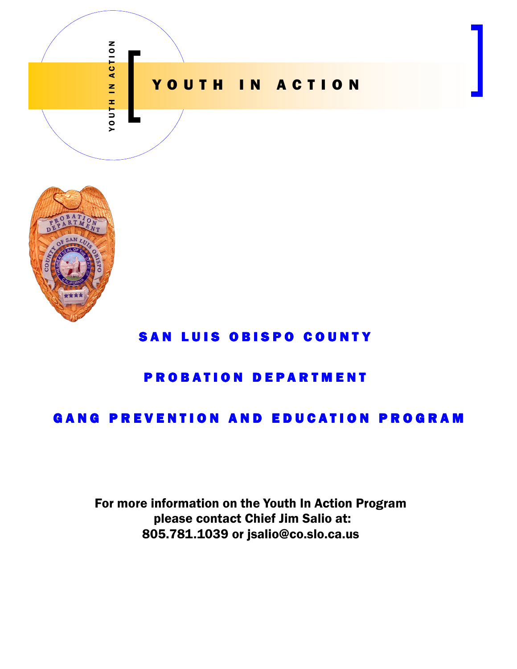



# SAN LUIS OBISPO COUNTY

## **PROBATION DEPARTMENT**

## **GANG PREVENTION AND EDUCATION PROGRAM**

For more information on the Youth In Action Program please contact Chief Jim Salio at: 805.781.1039 or jsalio@co.slo.ca.us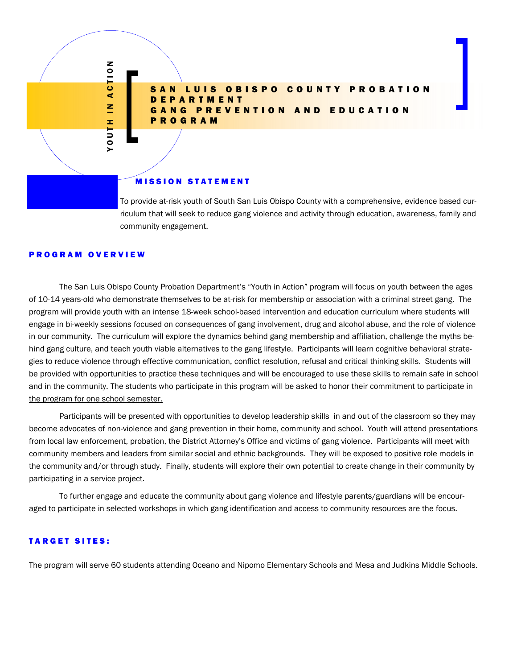### SAN LUIS OBISPO COUNTY PROBATION T M E N T GANG PREVENTION AND EDUCATION P R O G R A M

#### **MISSION STATEMENT**

To provide at-risk youth of South San Luis Obispo County with a comprehensive, evidence based curriculum that will seek to reduce gang violence and activity through education, awareness, family and community engagement.

#### P R O G R A M O V E R V I E W

Y O T J O N A C T J O N

YOUTH IN ACTION

 The San Luis Obispo County Probation Department's "Youth in Action" program will focus on youth between the ages of 10-14 years-old who demonstrate themselves to be at-risk for membership or association with a criminal street gang. The program will provide youth with an intense 18-week school-based intervention and education curriculum where students will engage in bi-weekly sessions focused on consequences of gang involvement, drug and alcohol abuse, and the role of violence in our community. The curriculum will explore the dynamics behind gang membership and affiliation, challenge the myths behind gang culture, and teach youth viable alternatives to the gang lifestyle. Participants will learn cognitive behavioral strategies to reduce violence through effective communication, conflict resolution, refusal and critical thinking skills. Students will be provided with opportunities to practice these techniques and will be encouraged to use these skills to remain safe in school and in the community. The students who participate in this program will be asked to honor their commitment to participate in the program for one school semester.

 Participants will be presented with opportunities to develop leadership skills in and out of the classroom so they may become advocates of non-violence and gang prevention in their home, community and school. Youth will attend presentations from local law enforcement, probation, the District Attorney's Office and victims of gang violence. Participants will meet with community members and leaders from similar social and ethnic backgrounds. They will be exposed to positive role models in the community and/or through study. Finally, students will explore their own potential to create change in their community by participating in a service project.

 To further engage and educate the community about gang violence and lifestyle parents/guardians will be encouraged to participate in selected workshops in which gang identification and access to community resources are the focus.

#### **TARGET SITES:**

The program will serve 60 students attending Oceano and Nipomo Elementary Schools and Mesa and Judkins Middle Schools.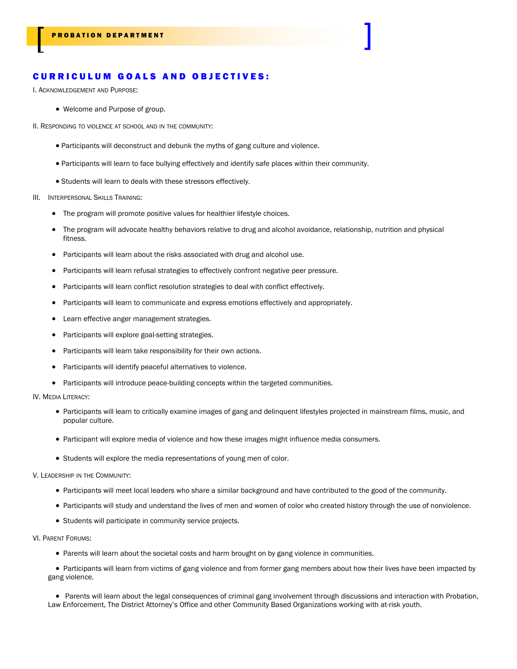### CURRICULUM GOALS AND OBJECTIVES:

I. ACKNOWLEDGEMENT AND PURPOSE:

- Welcome and Purpose of group.
- II. RESPONDING TO VIOLENCE AT SCHOOL AND IN THE COMMUNITY:
	- Participants will deconstruct and debunk the myths of gang culture and violence.
	- Participants will learn to face bullying effectively and identify safe places within their community.
	- Students will learn to deals with these stressors effectively.
- III. INTERPERSONAL SKILLS TRAINING:
	- The program will promote positive values for healthier lifestyle choices.
	- The program will advocate healthy behaviors relative to drug and alcohol avoidance, relationship, nutrition and physical fitness.
	- Participants will learn about the risks associated with drug and alcohol use.
	- Participants will learn refusal strategies to effectively confront negative peer pressure.
	- Participants will learn conflict resolution strategies to deal with conflict effectively.
	- Participants will learn to communicate and express emotions effectively and appropriately.
	- Learn effective anger management strategies.
	- Participants will explore goal-setting strategies.
	- Participants will learn take responsibility for their own actions.
	- Participants will identify peaceful alternatives to violence.
	- Participants will introduce peace-building concepts within the targeted communities.
- IV. MEDIA LITERACY:
	- Participants will learn to critically examine images of gang and delinquent lifestyles projected in mainstream films, music, and popular culture.
	- Participant will explore media of violence and how these images might influence media consumers.
	- Students will explore the media representations of young men of color.

#### V. LEADERSHIP IN THE COMMUNITY:

- Participants will meet local leaders who share a similar background and have contributed to the good of the community.
- Participants will study and understand the lives of men and women of color who created history through the use of nonviolence.
- Students will participate in community service projects.
- VI. PARENT FORUMS:
	- Parents will learn about the societal costs and harm brought on by gang violence in communities.

• Participants will learn from victims of gang violence and from former gang members about how their lives have been impacted by gang violence.

• Parents will learn about the legal consequences of criminal gang involvement through discussions and interaction with Probation, Law Enforcement, The District Attorney's Office and other Community Based Organizations working with at-risk youth.